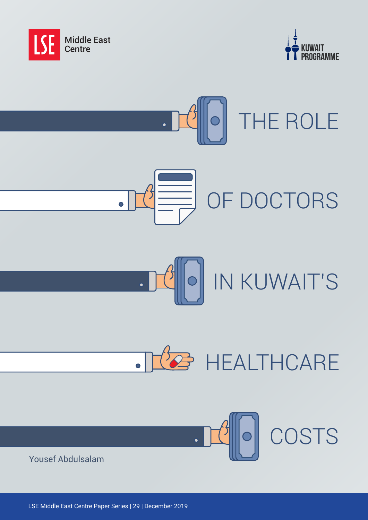



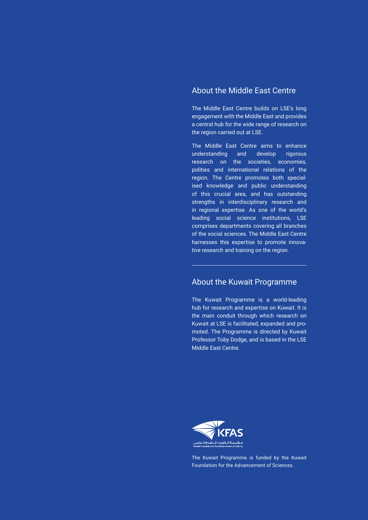### About the Middle East Centre

The Middle East Centre builds on LSE's long engagement with the Middle East and provides a central hub for the wide range of research on the region carried out at LSE.

The Middle East Centre aims to enhance understanding and develop rigorous research on the societies, economies, polities and international relations of the region. The Centre promotes both specialised knowledge and public understanding of this crucial area, and has outstanding strengths in interdisciplinary research and in regional expertise. As one of the world's leading social science institutions, LSE comprises departments covering all branches of the social sciences. The Middle East Centre harnesses this expertise to promote innovative research and training on the region.

### About the Kuwait Programme

The Kuwait Programme is a world-leading hub for research and expertise on Kuwait. It is the main conduit through which research on Kuwait at LSE is facilitated, expanded and promoted. The Programme is directed by Kuwait Professor Toby Dodge, and is based in the LSE Middle East Centre.



The Kuwait Programme is funded by the Kuwait Foundation for the Advancement of Sciences.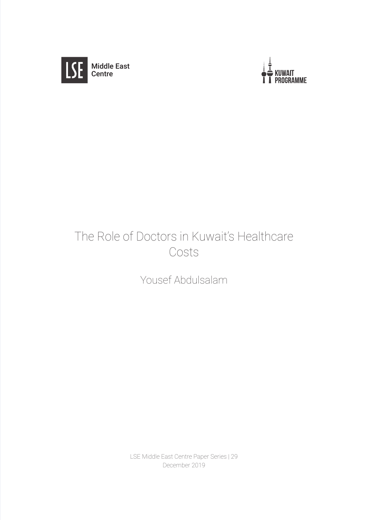



# The Role of Doctors in Kuwait's Healthcare Costs

Yousef Abdulsalam

LSE Middle East Centre Paper Series | 29 December 2019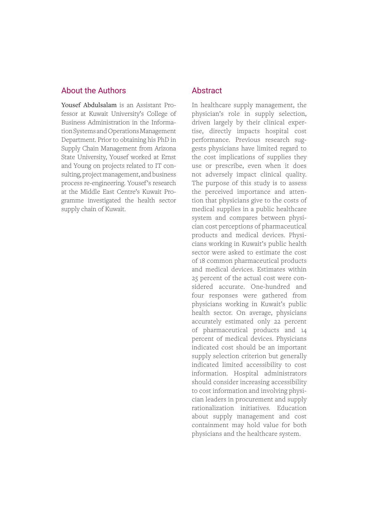#### About the Authors

Yousef Abdulsalam is an Assistant Professor at Kuwait University's College of Business Administration in the Information Systems and Operations Management Department. Prior to obtaining his PhD in Supply Chain Management from Arizona State University, Yousef worked at Ernst and Young on projects related to IT consulting, project management, and business process re-engineering. Yousef's research at the Middle East Centre's Kuwait Programme investigated the health sector supply chain of Kuwait.

#### Abstract

In healthcare supply management, the physician's role in supply selection, driven largely by their clinical expertise, directly impacts hospital cost performance. Previous research suggests physicians have limited regard to the cost implications of supplies they use or prescribe, even when it does not adversely impact clinical quality. The purpose of this study is to assess the perceived importance and attention that physicians give to the costs of medical supplies in a public healthcare system and compares between physician cost perceptions of pharmaceutical products and medical devices. Physicians working in Kuwait's public health sector were asked to estimate the cost of 18 common pharmaceutical products and medical devices. Estimates within 25 percent of the actual cost were considered accurate. One-hundred and four responses were gathered from physicians working in Kuwait's public health sector. On average, physicians accurately estimated only 22 percent of pharmaceutical products and 14 percent of medical devices. Physicians indicated cost should be an important supply selection criterion but generally indicated limited accessibility to cost information. Hospital administrators should consider increasing accessibility to cost information and involving physician leaders in procurement and supply rationalization initiatives. Education about supply management and cost containment may hold value for both physicians and the healthcare system.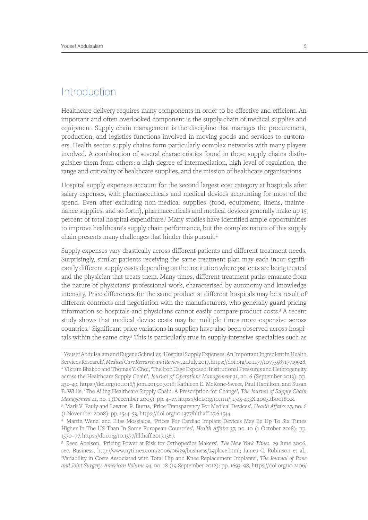# Introduction

Healthcare delivery requires many components in order to be effective and efficient. An important and often overlooked component is the supply chain of medical supplies and equipment. Supply chain management is the discipline that manages the procurement, production, and logistics functions involved in moving goods and services to customers. Health sector supply chains form particularly complex networks with many players involved. A combination of several characteristics found in these supply chains distinguishes them from others: a high degree of intermediation, high level of regulation, the range and criticality of healthcare supplies, and the mission of healthcare organisations

Hospital supply expenses account for the second largest cost category at hospitals after salary expenses, with pharmaceuticals and medical devices accounting for most of the spend. Even after excluding non-medical supplies (food, equipment, linens, maintenance supplies, and so forth), pharmaceuticals and medical devices generally make up 15 percent of total hospital expenditure.1 Many studies have identified ample opportunities to improve healthcare's supply chain performance, but the complex nature of this supply chain presents many challenges that hinder this pursuit.<sup>2</sup>

Supply expenses vary drastically across different patients and different treatment needs. Surprisingly, similar patients receiving the same treatment plan may each incur significantly different supply costs depending on the institution where patients are being treated and the physician that treats them. Many times, different treatment paths emanate from the nature of physicians' professional work, characterised by autonomy and knowledge intensity. Price differences for the same product at different hospitals may be a result of different contracts and negotiation with the manufacturers, who generally guard pricing information so hospitals and physicians cannot easily compare product costs.3 A recent study shows that medical device costs may be multiple times more expensive across countries.4 Significant price variations in supplies have also been observed across hospitals within the same city.<sup>5</sup> This is particularly true in supply-intensive specialties such as

<sup>&</sup>lt;sup>1</sup> Yousef Abdulsalam and Eugene Schneller, 'Hospital Supply Expenses: An Important Ingredient in Health Services Research', *Medical Care Research and Review*, 24 July 2017, https://doi.org/10.1177/1077558717719928. 2 Vikram Bhakoo and Thomas Y. Choi, 'The Iron Cage Exposed: Institutional Pressures and Heterogeneity across the Healthcare Supply Chain', *Journal of Operations Management* 31, no. 6 (September 2013): pp. 432–49, https://doi.org/10.1016/j.jom.2013.07.016; Kathleen E. McKone-Sweet, Paul Hamilton, and Susan B. Willis, 'The Ailing Healthcare Supply Chain: A Prescription for Change', *The Journal of Supply Chain Management* 41, no. 1 (December 2005): pp. 4–17, https://doi.org/10.1111/j.1745-493X.2005.tb00180.x.

<sup>3</sup> Mark V. Pauly and Lawton R. Burns, 'Price Transparency For Medical Devices', *Health Affairs* 27, no. 6 (1 November 2008): pp. 1544–53, https://doi.org/10.1377/hlthaff.27.6.1544.

<sup>4</sup> Martin Wenzl and Elias Mossialos, 'Prices For Cardiac Implant Devices May Be Up To Six Times Higher In The US Than In Some European Countries', *Health Affairs* 37, no. 10 (1 October 2018): pp. 1570–77, https://doi.org/10.1377/hlthaff.2017.1367.

<sup>5</sup> Reed Abelson, 'Pricing Power at Risk for Orthopedics Makers', *The New York Times*, 29 June 2006, sec. Business, http://www.nytimes.com/2006/06/29/business/29place.html; James C. Robinson et al., 'Variability in Costs Associated with Total Hip and Knee Replacement Implants', *The Journal of Bone and Joint Surgery. American Volume* 94, no. 18 (19 September 2012): pp. 1693–98, https://doi.org/10.2106/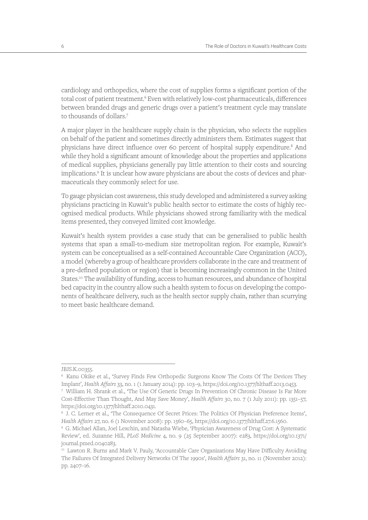cardiology and orthopedics, where the cost of supplies forms a significant portion of the total cost of patient treatment.<sup>6</sup> Even with relatively low-cost pharmaceuticals, differences between branded drugs and generic drugs over a patient's treatment cycle may translate to thousands of dollars.7

A major player in the healthcare supply chain is the physician, who selects the supplies on behalf of the patient and sometimes directly administers them. Estimates suggest that physicians have direct influence over 60 percent of hospital supply expenditure.<sup>8</sup> And while they hold a significant amount of knowledge about the properties and applications of medical supplies, physicians generally pay little attention to their costs and sourcing implications.<sup>9</sup> It is unclear how aware physicians are about the costs of devices and pharmaceuticals they commonly select for use.

To gauge physician cost awareness, this study developed and administered a survey asking physicians practicing in Kuwait's public health sector to estimate the costs of highly recognised medical products. While physicians showed strong familiarity with the medical items presented, they conveyed limited cost knowledge.

Kuwait's health system provides a case study that can be generalised to public health systems that span a small-to-medium size metropolitan region. For example, Kuwait's system can be conceptualised as a self-contained Accountable Care Organization (ACO), a model (whereby a group of healthcare providers collaborate in the care and treatment of a pre-defined population or region) that is becoming increasingly common in the United States.10 The availability of funding, access to human resources, and abundance of hospital bed capacity in the country allow such a health system to focus on developing the components of healthcare delivery, such as the health sector supply chain, rather than scurrying to meet basic healthcare demand.

JBJS.K.00355.

<sup>6</sup> Kanu Okike et al., 'Survey Finds Few Orthopedic Surgeons Know The Costs Of The Devices They Implant', *Health Affairs* 33, no. 1 (1 January 2014): pp. 103–9, https://doi.org/10.1377/hlthaff.2013.0453.

<sup>7</sup> William H. Shrank et al., 'The Use Of Generic Drugs In Prevention Of Chronic Disease Is Far More Cost-Effective Than Thought, And May Save Money', *Health Affairs* 30, no. 7 (1 July 2011): pp. 1351–57, https://doi.org/10.1377/hlthaff.2010.0431.

<sup>8</sup> J. C. Lerner et al., 'The Consequence Of Secret Prices: The Politics Of Physician Preference Items', *Health Affairs* 27, no. 6 (1 November 2008): pp. 1560–65, https://doi.org/10.1377/hlthaff.27.6.1560.

<sup>9</sup> G. Michael Allan, Joel Lexchin, and Natasha Wiebe, 'Physician Awareness of Drug Cost: A Systematic Review', ed. Suzanne Hill, *PLoS Medicine* 4, no. 9 (25 September 2007): e283, https://doi.org/10.1371/ journal.pmed.0040283.

<sup>&</sup>lt;sup>10</sup> Lawton R. Burns and Mark V. Pauly, 'Accountable Care Organizations May Have Difficulty Avoiding The Failures Of Integrated Delivery Networks Of The 1990s', *Health Affairs* 31, no. 11 (November 2012): pp. 2407–16.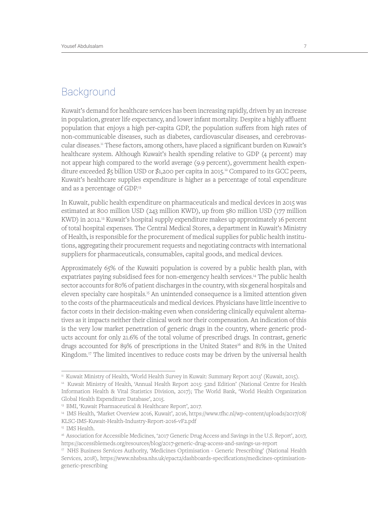# Background

Kuwait's demand for healthcare services has been increasing rapidly, driven by an increase in population, greater life expectancy, and lower infant mortality. Despite a highly affluent population that enjoys a high per-capita GDP, the population suffers from high rates of non-communicable diseases, such as diabetes, cardiovascular diseases, and cerebrovascular diseases.11 These factors, among others, have placed a significant burden on Kuwait's healthcare system. Although Kuwait's health spending relative to GDP (4 percent) may not appear high compared to the world average (9.9 percent), government health expenditure exceeded  $\frac{1}{5}$  billion USD or  $\frac{1}{2}$ ,200 per capita in 2015.<sup>12</sup> Compared to its GCC peers, Kuwait's healthcare supplies expenditure is higher as a percentage of total expenditure and as a percentage of GDP.13

In Kuwait, public health expenditure on pharmaceuticals and medical devices in 2015 was estimated at 800 million USD (243 million KWD), up from 580 million USD (177 million KWD) in 2012.<sup>12</sup> Kuwait's hospital supply expenditure makes up approximately 16 percent of total hospital expenses. The Central Medical Stores, a department in Kuwait's Ministry of Health, is responsible for the procurement of medical supplies for public health institutions, aggregating their procurement requests and negotiating contracts with international suppliers for pharmaceuticals, consumables, capital goods, and medical devices.

Approximately 65% of the Kuwaiti population is covered by a public health plan, with expatriates paying subsidised fees for non-emergency health services.<sup>14</sup> The public health sector accounts for 80% of patient discharges in the country, with six general hospitals and eleven specialty care hospitals.15 An unintended consequence is a limited attention given to the costs of the pharmaceuticals and medical devices. Physicians have little incentive to factor costs in their decision-making even when considering clinically equivalent alternatives as it impacts neither their clinical work nor their compensation. An indication of this is the very low market penetration of generic drugs in the country, where generic products account for only 21.6% of the total volume of prescribed drugs. In contrast, generic drugs accounted for 89% of prescriptions in the United States<sup>16</sup> and 81% in the United Kingdom.<sup>17</sup> The limited incentives to reduce costs may be driven by the universal health

<sup>11</sup> Kuwait Ministry of Health, 'World Health Survey in Kuwait: Summary Report 2013' (Kuwait, 2015).

<sup>&</sup>lt;sup>12</sup> Kuwait Ministry of Health, 'Annual Health Report 2015: 52nd Edition' (National Centre for Health Information Health & Vital Statistics Division, 2017); The World Bank, 'World Health Organization Global Health Expenditure Database', 2015.

<sup>&</sup>lt;sup>13</sup> BMI, 'Kuwait Pharmaceutical & Healthcare Report', 2017.

<sup>14</sup> IMS Health, 'Market Overview 2016, Kuwait', 2016, https://www.tfhc.nl/wp-content/uploads/2017/08/ KLSC-IMS-Kuwait-Health-Industry-Report-2016-vF2.pdf

<sup>&</sup>lt;sup>15</sup> IMS Health.

<sup>&</sup>lt;sup>16</sup> Association for Accessible Medicines, '2017 Generic Drug Access and Savings in the U.S. Report', 2017, https://accessiblemeds.org/resources/blog/2017-generic-drug-access-and-savings-us-report

<sup>&</sup>lt;sup>17</sup> NHS Business Services Authority, 'Medicines Optimisation - Generic Prescribing' (National Health Services, 2018), https://www.nhsbsa.nhs.uk/epact2/dashboards-specifications/medicines-optimisationgeneric-prescribing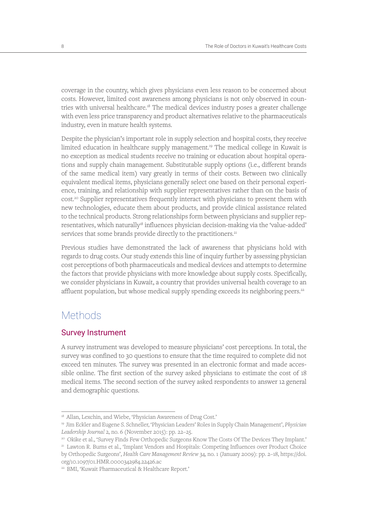coverage in the country, which gives physicians even less reason to be concerned about costs. However, limited cost awareness among physicians is not only observed in countries with universal healthcare.<sup>18</sup> The medical devices industry poses a greater challenge with even less price transparency and product alternatives relative to the pharmaceuticals industry, even in mature health systems.

Despite the physician's important role in supply selection and hospital costs, they receive limited education in healthcare supply management.<sup>19</sup> The medical college in Kuwait is no exception as medical students receive no training or education about hospital operations and supply chain management. Substitutable supply options (i.e., different brands of the same medical item) vary greatly in terms of their costs. Between two clinically equivalent medical items, physicians generally select one based on their personal experience, training, and relationship with supplier representatives rather than on the basis of cost.20 Supplier representatives frequently interact with physicians to present them with new technologies, educate them about products, and provide clinical assistance related to the technical products. Strong relationships form between physicians and supplier representatives, which naturally18 influences physician decision-making via the 'value-added' services that some brands provide directly to the practitioners.<sup>21</sup>

Previous studies have demonstrated the lack of awareness that physicians hold with regards to drug costs. Our study extends this line of inquiry further by assessing physician cost perceptions of both pharmaceuticals and medical devices and attempts to determine the factors that provide physicians with more knowledge about supply costs. Specifically, we consider physicians in Kuwait, a country that provides universal health coverage to an affluent population, but whose medical supply spending exceeds its neighboring peers.<sup>22</sup>

# **Methods**

### Survey Instrument

A survey instrument was developed to measure physicians' cost perceptions. In total, the survey was confined to 30 questions to ensure that the time required to complete did not exceed ten minutes. The survey was presented in an electronic format and made accessible online. The first section of the survey asked physicians to estimate the cost of 18 medical items. The second section of the survey asked respondents to answer 12 general and demographic questions.

<sup>&</sup>lt;sup>18</sup> Allan, Lexchin, and Wiebe, 'Physician Awareness of Drug Cost.'

<sup>19</sup> Jim Eckler and Eugene S. Schneller, 'Physician Leaders' Roles in Supply Chain Management', *Physician Leadership Journal* 2, no. 6 (November 2015): pp. 22–25.

<sup>20</sup> Okike et al., 'Survey Finds Few Orthopedic Surgeons Know The Costs Of The Devices They Implant.'

<sup>21</sup> Lawton R. Burns et al., 'Implant Vendors and Hospitals: Competing Influences over Product Choice by Orthopedic Surgeons', *Health Care Management Review* 34, no. 1 (January 2009): pp. 2–18, https://doi. org/10.1097/01.HMR.0000342984.22426.ac

<sup>22</sup> BMI, 'Kuwait Pharmaceutical & Healthcare Report.'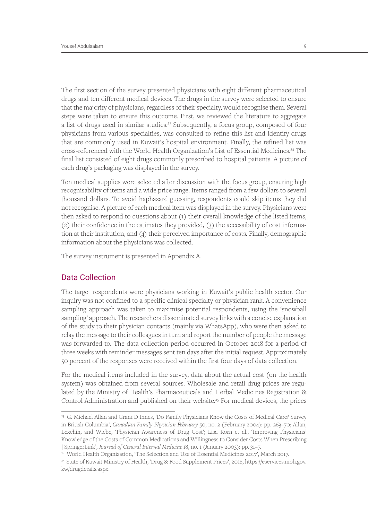The first section of the survey presented physicians with eight different pharmaceutical drugs and ten different medical devices. The drugs in the survey were selected to ensure that the majority of physicians, regardless of their specialty, would recognise them. Several steps were taken to ensure this outcome. First, we reviewed the literature to aggregate a list of drugs used in similar studies.<sup>23</sup> Subsequently, a focus group, composed of four physicians from various specialties, was consulted to refine this list and identify drugs that are commonly used in Kuwait's hospital environment. Finally, the refined list was cross-referenced with the World Health Organization's List of Essential Medicines.<sup>24</sup> The final list consisted of eight drugs commonly prescribed to hospital patients. A picture of each drug's packaging was displayed in the survey.

Ten medical supplies were selected after discussion with the focus group, ensuring high recognisability of items and a wide price range. Items ranged from a few dollars to several thousand dollars. To avoid haphazard guessing, respondents could skip items they did not recognise. A picture of each medical item was displayed in the survey. Physicians were then asked to respond to questions about (1) their overall knowledge of the listed items, (2) their confidence in the estimates they provided, (3) the accessibility of cost information at their institution, and (4) their perceived importance of costs. Finally, demographic information about the physicians was collected.

The survey instrument is presented in Appendix A.

### Data Collection

The target respondents were physicians working in Kuwait's public health sector. Our inquiry was not confined to a specific clinical specialty or physician rank. A convenience sampling approach was taken to maximise potential respondents, using the 'snowball sampling' approach. The researchers disseminated survey links with a concise explanation of the study to their physician contacts (mainly via WhatsApp), who were then asked to relay the message to their colleagues in turn and report the number of people the message was forwarded to. The data collection period occurred in October 2018 for a period of three weeks with reminder messages sent ten days after the initial request. Approximately 50 percent of the responses were received within the first four days of data collection.

For the medical items included in the survey, data about the actual cost (on the health system) was obtained from several sources. Wholesale and retail drug prices are regulated by the Ministry of Health's Pharmaceuticals and Herbal Medicines Registration & Control Administration and published on their website.<sup>25</sup> For medical devices, the prices

<sup>23</sup> G. Michael Allan and Grant D Innes, 'Do Family Physicians Know the Costs of Medical Care? Survey in British Columbia', *Canadian Family Physician February* 50, no. 2 (February 2004): pp. 263–70; Allan, Lexchin, and Wiebe, 'Physician Awareness of Drug Cost'; Lisa Korn et al., 'Improving Physicians' Knowledge of the Costs of Common Medications and Willingness to Consider Costs When Prescribing | SpringerLink', *Journal of General Internal Medicine* 18, no. 1 (January 2003): pp. 31–7.

<sup>24</sup> World Health Organization, 'The Selection and Use of Essential Medicines 2017', March 2017.

<sup>25</sup> State of Kuwait Ministry of Health, 'Drug & Food Supplement Prices', 2018, https://eservices.moh.gov. kw/drugdetails.aspx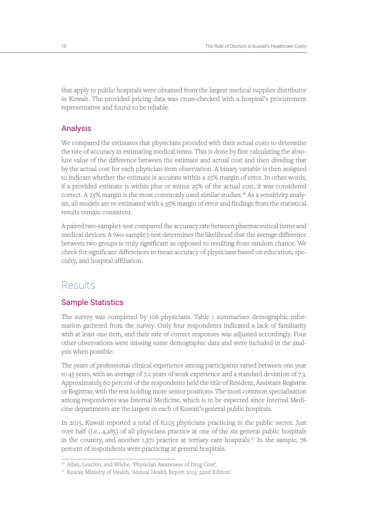that apply to public hospitals were obtained from the largest medical supplies distributor in Kuwait. The provided pricing data was cross-checked with a hospital's procurement representative and found to be reliable.

### Analysis

We compared the estimates that physicians provided with their actual costs to determine the rate of accuracy in estimating medical items. This is done by first calculating the absolute value of the difference between the estimate and actual cost and then dividing that by the actual cost for each physician-item observation. A binary variable is then assigned to indicate whether the estimate is accurate within a 25% margin of error. In other words, if a provided estimate is within plus or minus 25% of the actual cost, it was considered correct. A 25% margin is the most commonly used similar studies.<sup>26</sup> As a sensitivity analysis, all models are re-estimated with a 35% margin of error and findings from the statistical results remain consistent.

A paired two-sample t-test compared the accuracy rate between pharmaceutical items and medical devices. A two-sample t-test determines the likelihood that the average difference between two groups is truly significant as opposed to resulting from random chance. We check for significant differences in mean accuracy of physicians based on education, specialty, and hospital affiliation.

# Results

### Sample Statistics

The survey was completed by 106 physicians. Table 1 summarises demographic information gathered from the survey. Only four respondents indicated a lack of familiarity with at least one item, and their rate of correct responses was adjusted accordingly. Four other observations were missing some demographic data and were included in the analysis when possible.

The years of professional clinical experience among participants varied between one year to 45 years, with an average of 7.2 years of work experience and a standard deviation of 7.3. Approximately 60 percent of the respondents held the title of Resident, Assistant Registrar or Registrar, with the rest holding more senior positions. The most common specialisation among respondents was Internal Medicine, which is to be expected since Internal Medicine departments are the largest in each of Kuwait's general public hospitals.

In 2015, Kuwait reported a total of 8,105 physicians practicing in the public sector. Just over half (i.e., 4,285) of all physicians practice at one of the six general public hospitals in the country, and another  $1,371$  practice at tertiary care hospitals.<sup>27</sup> In the sample, 76 percent of respondents were practicing at general hospitals.

<sup>&</sup>lt;sup>26</sup> Allan, Lexchin, and Wiebe, 'Physician Awareness of Drug Cost'.<br><sup>27</sup> Kuwait Ministry of Health, 'Annual Health Report 2015: 52nd Edition'.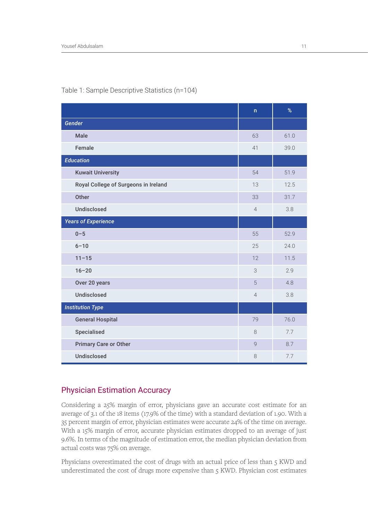|                                      | $\mathsf{n}$   | %    |
|--------------------------------------|----------------|------|
| <b>Gender</b>                        |                |      |
| Male                                 | 63             | 61.0 |
| Female                               | 41             | 39.0 |
| <b>Education</b>                     |                |      |
| <b>Kuwait University</b>             | 54             | 51.9 |
| Royal College of Surgeons in Ireland | 13             | 12.5 |
| Other                                | 33             | 31.7 |
| <b>Undisclosed</b>                   | $\overline{4}$ | 3.8  |
| <b>Years of Experience</b>           |                |      |
| $0 - 5$                              | 55             | 52.9 |
| $6 - 10$                             | 25             | 24.0 |
| $11 - 15$                            | 12             | 11.5 |
| $16 - 20$                            | 3              | 2.9  |
| Over 20 years                        | 5              | 4.8  |
| <b>Undisclosed</b>                   | $\overline{4}$ | 3.8  |
| <b>Institution Type</b>              |                |      |
| <b>General Hospital</b>              | 79             | 76.0 |
| Specialised                          | 8              | 7.7  |
| <b>Primary Care or Other</b>         | 9              | 8.7  |
| <b>Undisclosed</b>                   | 8              | 7.7  |

### Table 1: Sample Descriptive Statistics (n=104)

# Physician Estimation Accuracy

Considering a 25% margin of error, physicians gave an accurate cost estimate for an average of 3.1 of the 18 items (17.9% of the time) with a standard deviation of 1.90. With a 35 percent margin of error, physician estimates were accurate 24% of the time on average. With a 15% margin of error, accurate physician estimates dropped to an average of just 9.6%. In terms of the magnitude of estimation error, the median physician deviation from actual costs was 75% on average.

Physicians overestimated the cost of drugs with an actual price of less than 5 KWD and underestimated the cost of drugs more expensive than 5 KWD. Physician cost estimates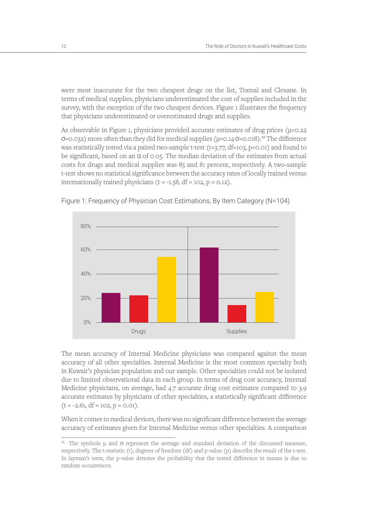were most inaccurate for the two cheapest drugs on the list, Tramal and Clexane. In terms of medical supplies, physicians underestimated the cost of supplies included in the survey, with the exception of the two cheapest devices. Figure 1 illustrates the frequency that physicians underestimated or overestimated drugs and supplies.

As observable in Figure 1, physicians provided accurate estimates of drug prices ( $\mu$ =0.22 σ=0.032) more often than they did for medical supplies (µ=0.14 σ=0.018).28 The difference was statistically tested via a paired two-sample t-test ( $t=3.77$ ,  $df=103$ ,  $p<0.01$ ) and found to be significant, based on an α of 0.05. The median deviation of the estimates from actual costs for drugs and medical supplies was 85 and 81 percent, respectively. A two-sample t-test shows no statistical significance between the accuracy rates of locally trained versus internationally trained physicians  $(t = -1.58, df = 102, p = 0.12)$ .



Figure 1: Frequency of Physician Cost Estimations, By Item Category (N=104)

The mean accuracy of Internal Medicine physicians was compared against the mean accuracy of all other specialties. Internal Medicine is the most common specialty both in Kuwait's physician population and our sample. Other specialties could not be isolated due to limited observational data in each group. In terms of drug cost accuracy, Internal Medicine physicians, on average, had 4.7 accurate drug cost estimates compared to 3.9 accurate estimates by physicians of other specialties, a statistically significant difference  $(t = -2.61, df = 102, p = 0.01).$ 

When it comes to medical devices, there was no significant difference between the average accuracy of estimates given for Internal Medicine versus other specialties. A comparison

<sup>&</sup>lt;sup>28</sup> The symbols μ and σ represent the average and standard deviation of the discussed measure, respectively. The t-statistic (t), degrees of freedom (df) and p-value (p) describe the result of the t-test. In layman's term, the p-value denotes the probability that the tested difference in means is due to random occurrences.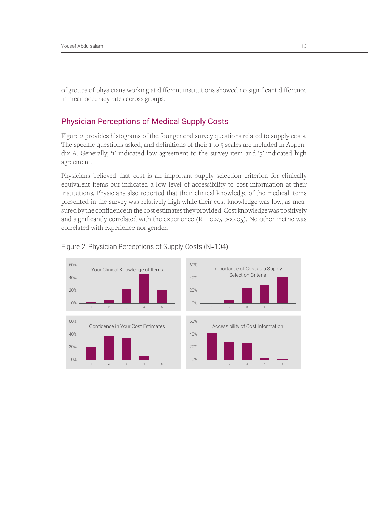of groups of physicians working at different institutions showed no significant difference in mean accuracy rates across groups.

## Physician Perceptions of Medical Supply Costs

Figure 2 provides histograms of the four general survey questions related to supply costs. The specific questions asked, and definitions of their 1 to 5 scales are included in Appendix A. Generally, '1' indicated low agreement to the survey item and '5' indicated high agreement.

Physicians believed that cost is an important supply selection criterion for clinically equivalent items but indicated a low level of accessibility to cost information at their institutions. Physicians also reported that their clinical knowledge of the medical items presented in the survey was relatively high while their cost knowledge was low, as measured by the confidence in the cost estimates they provided. Cost knowledge was positively and significantly correlated with the experience  $(R = 0.27, p < 0.05)$ . No other metric was correlated with experience nor gender.



Figure 2: Physician Perceptions of Supply Costs (N=104)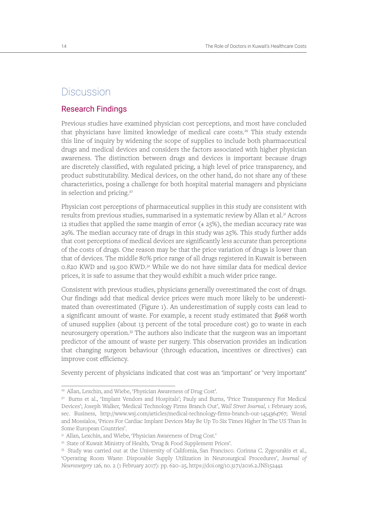# Discussion

### Research Findings

Previous studies have examined physician cost perceptions, and most have concluded that physicians have limited knowledge of medical care costs.<sup>29</sup> This study extends this line of inquiry by widening the scope of supplies to include both pharmaceutical drugs and medical devices and considers the factors associated with higher physician awareness. The distinction between drugs and devices is important because drugs are discretely classified, with regulated pricing, a high level of price transparency, and product substitutability. Medical devices, on the other hand, do not share any of these characteristics, posing a challenge for both hospital material managers and physicians in selection and pricing.30

Physician cost perceptions of pharmaceutical supplies in this study are consistent with results from previous studies, summarised in a systematic review by Allan et al.<sup>31</sup> Across 12 studies that applied the same margin of error  $(± 25%)$ , the median accuracy rate was 29%. The median accuracy rate of drugs in this study was 25%. This study further adds that cost perceptions of medical devices are significantly less accurate than perceptions of the costs of drugs. One reason may be that the price variation of drugs is lower than that of devices. The middle 80% price range of all drugs registered in Kuwait is between 0.820 KWD and 19.500 KWD.32 While we do not have similar data for medical device prices, it is safe to assume that they would exhibit a much wider price range.

Consistent with previous studies, physicians generally overestimated the cost of drugs. Our findings add that medical device prices were much more likely to be underestimated than overestimated (Figure 1). An underestimation of supply costs can lead to a significant amount of waste. For example, a recent study estimated that \$968 worth of unused supplies (about 13 percent of the total procedure cost) go to waste in each neurosurgery operation.33 The authors also indicate that the surgeon was an important predictor of the amount of waste per surgery. This observation provides an indication that changing surgeon behaviour (through education, incentives or directives) can improve cost efficiency.

Seventy percent of physicians indicated that cost was an 'important' or 'very important'

<sup>&</sup>lt;sup>29</sup> Allan, Lexchin, and Wiebe, 'Physician Awareness of Drug Cost'.<br><sup>30</sup> Burns et al., 'Implant Vendors and Hospitals'; Pauly and Burns, 'Price Transparency For Medical Devices'; Joseph Walker, 'Medical Technology Firms Branch Out', *Wall Street Journal*, 1 February 2016, sec. Business, http://www.wsj.com/articles/medical-technology-firms-branch-out-1454364767; Wenzl and Mossialos, 'Prices For Cardiac Implant Devices May Be Up To Six Times Higher In The US Than In Some European Countries'.

<sup>&</sup>lt;sup>31</sup> Allan, Lexchin, and Wiebe, 'Physician Awareness of Drug Cost.'

 $32$  State of Kuwait Ministry of Health, 'Drug & Food Supplement Prices'.<br> $33$  Study was carried out at the University of California, San Francisco. Corinna C. Zygourakis et al., 'Operating Room Waste: Disposable Supply Utilization in Neurosurgical Procedures', *Journal of Neurosurgery* 126, no. 2 (1 February 2017): pp. 620–25, https://doi.org/10.3171/2016.2.JNS152442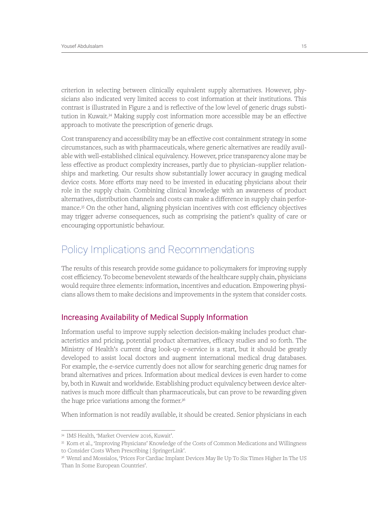criterion in selecting between clinically equivalent supply alternatives. However, physicians also indicated very limited access to cost information at their institutions. This contrast is illustrated in Figure 2 and is reflective of the low level of generic drugs substitution in Kuwait.34 Making supply cost information more accessible may be an effective approach to motivate the prescription of generic drugs.

Cost transparency and accessibility may be an effective cost containment strategy in some circumstances, such as with pharmaceuticals, where generic alternatives are readily available with well-established clinical equivalency. However, price transparency alone may be less effective as product complexity increases, partly due to physician–supplier relationships and marketing. Our results show substantially lower accuracy in gauging medical device costs. More efforts may need to be invested in educating physicians about their role in the supply chain. Combining clinical knowledge with an awareness of product alternatives, distribution channels and costs can make a difference in supply chain performance.35 On the other hand, aligning physician incentives with cost efficiency objectives may trigger adverse consequences, such as comprising the patient's quality of care or encouraging opportunistic behaviour.

# Policy Implications and Recommendations

The results of this research provide some guidance to policymakers for improving supply cost efficiency. To become benevolent stewards of the healthcare supply chain, physicians would require three elements: information, incentives and education. Empowering physicians allows them to make decisions and improvements in the system that consider costs.

### Increasing Availability of Medical Supply Information

Information useful to improve supply selection decision-making includes product characteristics and pricing, potential product alternatives, efficacy studies and so forth. The Ministry of Health's current drug look-up e-service is a start, but it should be greatly developed to assist local doctors and augment international medical drug databases. For example, the e-service currently does not allow for searching generic drug names for brand alternatives and prices. Information about medical devices is even harder to come by, both in Kuwait and worldwide. Establishing product equivalency between device alternatives is much more difficult than pharmaceuticals, but can prove to be rewarding given the huge price variations among the former.<sup>36</sup>

When information is not readily available, it should be created. Senior physicians in each

<sup>34</sup> IMS Health, 'Market Overview 2016, Kuwait'.

<sup>35</sup> Korn et al., 'Improving Physicians' Knowledge of the Costs of Common Medications and Willingness to Consider Costs When Prescribing | SpringerLink'.

<sup>&</sup>lt;sup>36</sup> Wenzl and Mossialos, 'Prices For Cardiac Implant Devices May Be Up To Six Times Higher In The US Than In Some European Countries'.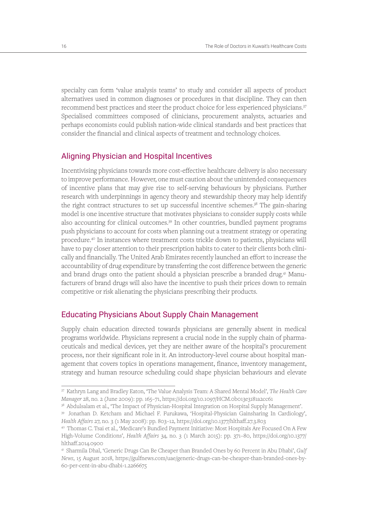specialty can form 'value analysis teams' to study and consider all aspects of product alternatives used in common diagnoses or procedures in that discipline. They can then recommend best practices and steer the product choice for less experienced physicians.37 Specialised committees composed of clinicians, procurement analysts, actuaries and perhaps economists could publish nation-wide clinical standards and best practices that consider the financial and clinical aspects of treatment and technology choices.

#### Aligning Physician and Hospital Incentives

Incentivising physicians towards more cost-effective healthcare delivery is also necessary to improve performance. However, one must caution about the unintended consequences of incentive plans that may give rise to self-serving behaviours by physicians. Further research with underpinnings in agency theory and stewardship theory may help identify the right contract structures to set up successful incentive schemes.38 The gain-sharing model is one incentive structure that motivates physicians to consider supply costs while also accounting for clinical outcomes.39 In other countries, bundled payment programs push physicians to account for costs when planning out a treatment strategy or operating procedure.40 In instances where treatment costs trickle down to patients, physicians will have to pay closer attention to their prescription habits to cater to their clients both clinically and financially. The United Arab Emirates recently launched an effort to increase the accountability of drug expenditure by transferring the cost difference between the generic and brand drugs onto the patient should a physician prescribe a branded drug.<sup>41</sup> Manufacturers of brand drugs will also have the incentive to push their prices down to remain competitive or risk alienating the physicians prescribing their products.

#### Educating Physicians About Supply Chain Management

Supply chain education directed towards physicians are generally absent in medical programs worldwide. Physicians represent a crucial node in the supply chain of pharmaceuticals and medical devices, yet they are neither aware of the hospital's procurement process, nor their significant role in it. An introductory-level course about hospital management that covers topics in operations management, finance, inventory management, strategy and human resource scheduling could shape physician behaviours and elevate

<sup>37</sup> Kathryn Lang and Bradley Eaton, 'The Value Analysis Team: A Shared Mental Model', *The Health Care Manager* 28, no. 2 (June 2009): pp. 165–71, https://doi.org/10.1097/HCM.0b013e3181a2cc61

<sup>&</sup>lt;sup>38</sup> Abdulsalam et al., 'The Impact of Physician-Hospital Integration on Hospital Supply Management'.<br><sup>39</sup> Jonathan D. Ketcham and Michael F. Furukawa, 'Hospital-Physician Gainsharing In Cardiology', *Health Affairs* 27, no. 3 (1 May 2008): pp. 803–12, https://doi.org/10.1377/hlthaff.27.3.803

<sup>40</sup> Thomas C. Tsai et al., 'Medicare's Bundled Payment Initiative: Most Hospitals Are Focused On A Few High-Volume Conditions', *Health Affairs* 34, no. 3 (1 March 2015): pp. 371–80, https://doi.org/10.1377/ hlthaff.2014.0900

<sup>41</sup> Sharmila Dhal, 'Generic Drugs Can Be Cheaper than Branded Ones by 60 Percent in Abu Dhabi', *Gulf News*, 15 August 2018, https://gulfnews.com/uae/generic-drugs-can-be-cheaper-than-branded-ones-by-60-per-cent-in-abu-dhabi-1.2266675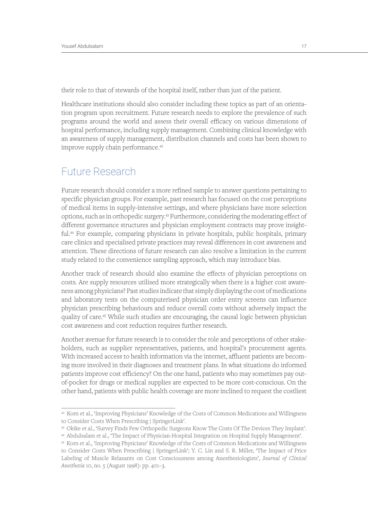their role to that of stewards of the hospital itself, rather than just of the patient.

Healthcare institutions should also consider including these topics as part of an orientation program upon recruitment. Future research needs to explore the prevalence of such programs around the world and assess their overall efficacy on various dimensions of hospital performance, including supply management. Combining clinical knowledge with an awareness of supply management, distribution channels and costs has been shown to improve supply chain performance.<sup>42</sup>

# Future Research

Future research should consider a more refined sample to answer questions pertaining to specific physician groups. For example, past research has focused on the cost perceptions of medical items in supply-intensive settings, and where physicians have more selection options, such as in orthopedic surgery.43 Furthermore, considering the moderating effect of different governance structures and physician employment contracts may prove insightful.44 For example, comparing physicians in private hospitals, public hospitals, primary care clinics and specialised private practices may reveal differences in cost awareness and attention. These directions of future research can also resolve a limitation in the current study related to the convenience sampling approach, which may introduce bias.

Another track of research should also examine the effects of physician perceptions on costs. Are supply resources utilised more strategically when there is a higher cost awareness among physicians? Past studies indicate that simply displaying the cost of medications and laboratory tests on the computerised physician order entry screens can influence physician prescribing behaviours and reduce overall costs without adversely impact the quality of care.45 While such studies are encouraging, the causal logic between physician cost awareness and cost reduction requires further research.

Another avenue for future research is to consider the role and perceptions of other stakeholders, such as supplier representatives, patients, and hospital's procurement agents. With increased access to health information via the internet, affluent patients are becoming more involved in their diagnoses and treatment plans. In what situations do informed patients improve cost efficiency? On the one hand, patients who may sometimes pay outof-pocket for drugs or medical supplies are expected to be more cost-conscious. On the other hand, patients with public health coverage are more inclined to request the costliest

<sup>42</sup> Korn et al., 'Improving Physicians' Knowledge of the Costs of Common Medications and Willingness to Consider Costs When Prescribing | SpringerLink'.

<sup>43</sup> Okike et al., 'Survey Finds Few Orthopedic Surgeons Know The Costs Of The Devices They Implant'.

<sup>44</sup> Abdulsalam et al., 'The Impact of Physician-Hospital Integration on Hospital Supply Management'. 45 Korn et al., 'Improving Physicians' Knowledge of the Costs of Common Medications and Willingness

to Consider Costs When Prescribing | SpringerLink'; Y. C. Lin and S. R. Miller, 'The Impact of Price Labeling of Muscle Relaxants on Cost Consciousness among Anesthesiologists', *Journal of Clinical Anesthesia* 10, no. 5 (August 1998): pp. 401–3.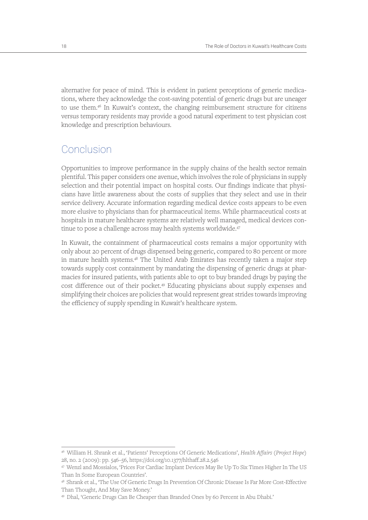alternative for peace of mind. This is evident in patient perceptions of generic medications, where they acknowledge the cost-saving potential of generic drugs but are uneager to use them.46 In Kuwait's context, the changing reimbursement structure for citizens versus temporary residents may provide a good natural experiment to test physician cost knowledge and prescription behaviours.

# Conclusion

Opportunities to improve performance in the supply chains of the health sector remain plentiful. This paper considers one avenue, which involves the role of physicians in supply selection and their potential impact on hospital costs. Our findings indicate that physicians have little awareness about the costs of supplies that they select and use in their service delivery. Accurate information regarding medical device costs appears to be even more elusive to physicians than for pharmaceutical items. While pharmaceutical costs at hospitals in mature healthcare systems are relatively well managed, medical devices continue to pose a challenge across may health systems worldwide.<sup>47</sup>

In Kuwait, the containment of pharmaceutical costs remains a major opportunity with only about 20 percent of drugs dispensed being generic, compared to 80 percent or more in mature health systems.48 The United Arab Emirates has recently taken a major step towards supply cost containment by mandating the dispensing of generic drugs at pharmacies for insured patients, with patients able to opt to buy branded drugs by paying the cost difference out of their pocket.49 Educating physicians about supply expenses and simplifying their choices are policies that would represent great strides towards improving the efficiency of supply spending in Kuwait's healthcare system.

<sup>46</sup> William H. Shrank et al., 'Patients' Perceptions Of Generic Medications', *Health Affairs (Project Hope)* 28, no. 2 (2009): pp. 546–56, https://doi.org/10.1377/hlthaff.28.2.546

<sup>47</sup> Wenzl and Mossialos, 'Prices For Cardiac Implant Devices May Be Up To Six Times Higher In The US Than In Some European Countries'.

<sup>48</sup> Shrank et al., 'The Use Of Generic Drugs In Prevention Of Chronic Disease Is Far More Cost-Effective Than Thought, And May Save Money.'

<sup>49</sup> Dhal, 'Generic Drugs Can Be Cheaper than Branded Ones by 60 Percent in Abu Dhabi.'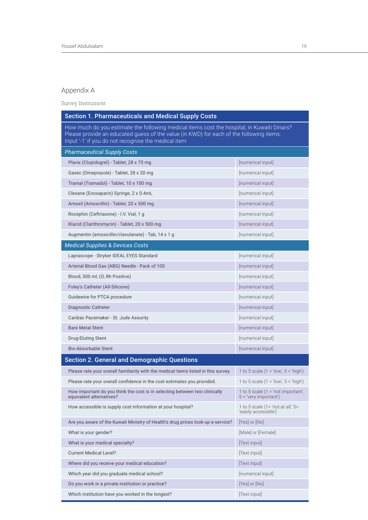### Appendix A

Survey Instrument

| <b>Section 1. Pharmaceuticals and Medical Supply Costs</b>                                                                                                                                                                                   |                                                               |  |
|----------------------------------------------------------------------------------------------------------------------------------------------------------------------------------------------------------------------------------------------|---------------------------------------------------------------|--|
| How much do you estimate the following medical items cost the hospital, in Kuwaiti Dinars?<br>Please provide an educated guess of the value (in KWD) for each of the following items.<br>Input '-1' if you do not recognise the medical item |                                                               |  |
| <b>Pharmaceutical Supply Costs</b>                                                                                                                                                                                                           |                                                               |  |
| Plavix (Clopidogrel) - Tablet, 28 x 75 mg                                                                                                                                                                                                    | [numerical input]                                             |  |
| Gasec (Omeprazole) - Tablet, 28 x 20 mg                                                                                                                                                                                                      | [numerical input]                                             |  |
| Tramal (Tramadol) - Tablet, 10 x 100 mg                                                                                                                                                                                                      | [numerical input]                                             |  |
| Clexane (Enoxaparin) Syringe, 2 x 0.4mL                                                                                                                                                                                                      | [numerical input]                                             |  |
| Amoxil (Amoxcillin) - Tablet, 20 x 500 mg                                                                                                                                                                                                    | [numerical input]                                             |  |
| Rocephin (Ceftriaxone) - I.V. Vial, 1 g                                                                                                                                                                                                      | [numerical input]                                             |  |
| Klacid (Clarithromycin) - Tablet, 20 x 500 mg                                                                                                                                                                                                | [numerical input]                                             |  |
| Augmentin (amoxicillin/clavulanate) - Tab, 14 x 1 g                                                                                                                                                                                          | [numerical input]                                             |  |
| <b>Medical Supplies &amp; Devices Costs</b>                                                                                                                                                                                                  |                                                               |  |
| Laprascope - Stryker IDEAL EYES Standard                                                                                                                                                                                                     | [numerical input]                                             |  |
| Arterial Blood Gas (ABG) Needle - Pack of 100                                                                                                                                                                                                | [numerical input]                                             |  |
| Blood, 500 ml, (O, Rh Positive)                                                                                                                                                                                                              | [numerical input]                                             |  |
| Foley's Catheter (All-Silicone)                                                                                                                                                                                                              | [numerical input]                                             |  |
| Guidewire for PTCA procedure                                                                                                                                                                                                                 | [numerical input]                                             |  |
| Diagnostic Catheter                                                                                                                                                                                                                          | [numerical input]                                             |  |
| Cardiac Pacemaker - St. Jude Assurity                                                                                                                                                                                                        | [numerical input]                                             |  |
| <b>Bare Metal Stent</b>                                                                                                                                                                                                                      | [numerical input]                                             |  |
| Drug-Eluting Stent                                                                                                                                                                                                                           | [numerical input]                                             |  |
| <b>Bio-Absorbable Stent</b>                                                                                                                                                                                                                  | [numerical input]                                             |  |
| <b>Section 2. General and Demographic Questions</b>                                                                                                                                                                                          |                                                               |  |
| Please rate your overall familiarity with the medical items listed in this survey.                                                                                                                                                           | 1 to 5 scale $(1 - 1)$ flow', $5 - 1$ high')                  |  |
| Please rate your overall confidence in the cost estimates you provided.                                                                                                                                                                      | 1 to 5 scale $(1 = 'low', 5 = 'high')$                        |  |
| How important do you think the cost is in selecting between two clinically<br>equivalent alternatives?                                                                                                                                       | 1 to 5 scale (1 = 'not important',<br>$5 = 'very important')$ |  |
| How accessible is supply cost information at your hospital?                                                                                                                                                                                  | 1 to 5 scale (1= 'not at all,' 5=<br>'easily accessible')     |  |
| Are you aware of the Kuwait Ministry of Health's drug prices look-up e-service?                                                                                                                                                              | [Yes] or [No]                                                 |  |
| What is your gender?                                                                                                                                                                                                                         | [Male] or [Female]                                            |  |
| What is your medical specialty?                                                                                                                                                                                                              | [Text input]                                                  |  |
| <b>Current Medical Level?</b>                                                                                                                                                                                                                | [Text input]                                                  |  |
| Where did you receive your medical education?                                                                                                                                                                                                | [Text input]                                                  |  |
| Which year did you graduate medical school?                                                                                                                                                                                                  | [numerical input]                                             |  |
| Do you work in a private institution or practice?                                                                                                                                                                                            | [Yes] or [No]                                                 |  |
| Which institution have you worked in the longest?                                                                                                                                                                                            | [Text input]                                                  |  |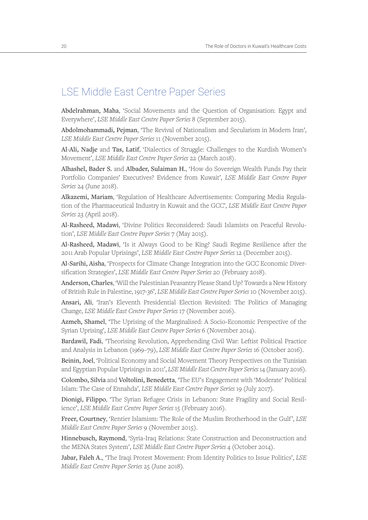# LSE Middle East Centre Paper Series

Abdelrahman, Maha, 'Social Movements and the Question of Organisation: Egypt and Everywhere', *LSE Middle East Centre Paper Series* 8 (September 2015).

Abdolmohammadi, Pejman, 'The Revival of Nationalism and Secularism in Modern Iran', *LSE Middle East Centre Paper Series* 11 (November 2015).

Al-Ali, Nadje and Tas, Latif, 'Dialectics of Struggle: Challenges to the Kurdish Women's Movement', *LSE Middle East Centre Paper Series* 22 (March 2018).

Alhashel, Bader S. and Albader, Sulaiman H., 'How do Sovereign Wealth Funds Pay their Portfolio Companies' Executives? Evidence from Kuwait', *LSE Middle East Centre Paper Series* 24 (June 2018).

Alkazemi, Mariam, 'Regulation of Healthcare Advertisements: Comparing Media Regulation of the Pharmaceutical Industry in Kuwait and the GCC', *LSE Middle East Centre Paper Series* 23 (April 2018).

Al-Rasheed, Madawi, 'Divine Politics Reconsidered: Saudi Islamists on Peaceful Revolution', *LSE Middle East Centre Paper Series* 7 (May 2015).

Al-Rasheed, Madawi, 'Is it Always Good to be King? Saudi Regime Resilience after the 2011 Arab Popular Uprisings', *LSE Middle East Centre Paper Series* 12 (December 2015).

Al-Sarihi, Aisha, 'Prospects for Climate Change Integration into the GCC Economic Diversification Strategies', *LSE Middle East Centre Paper Series* 20 (February 2018).

Anderson, Charles, 'Will the Palestinian Peasantry Please Stand Up? Towards a New History of British Rule in Palestine, 1917-36', *LSE Middle East Centre Paper Series* 10 (November 2015).

Ansari, Ali, 'Iran's Eleventh Presidential Election Revisited: The Politics of Managing Change, *LSE Middle East Centre Paper Series* 17 (November 2016).

Azmeh, Shamel, 'The Uprising of the Marginalised: A Socio-Economic Perspective of the Syrian Uprising', *LSE Middle East Centre Paper Series* 6 (November 2014).

Bardawil, Fadi, 'Theorising Revolution, Apprehending Civil War: Leftist Political Practice and Analysis in Lebanon (1969–79), *LSE Middle East Centre Paper Series* 16 (October 2016).

Beinin, Joel, 'Political Economy and Social Movement Theory Perspectives on the Tunisian and Egyptian Popular Uprisings in 2011', *LSE Middle East Centre Paper Series* 14 (January 2016).

Colombo, Silvia and Voltolini, Benedetta, 'The EU's Engagement with 'Moderate' Political Islam: The Case of Ennahda', *LSE Middle East Centre Paper Series* 19 (July 2017).

Dionigi, Filippo, 'The Syrian Refugee Crisis in Lebanon: State Fragility and Social Resilience', *LSE Middle East Centre Paper Series* 15 (February 2016).

Freer, Courtney, 'Rentier Islamism: The Role of the Muslim Brotherhood in the Gulf', *LSE Middle East Centre Paper Series* 9 (November 2015).

Hinnebusch, Raymond, 'Syria-Iraq Relations: State Construction and Deconstruction and the MENA States System', *LSE Middle East Centre Paper Series* 4 (October 2014).

Jabar, Faleh A., 'The Iraqi Protest Movement: From Identity Politics to Issue Politics', *LSE Middle East Centre Paper Series* 25 (June 2018).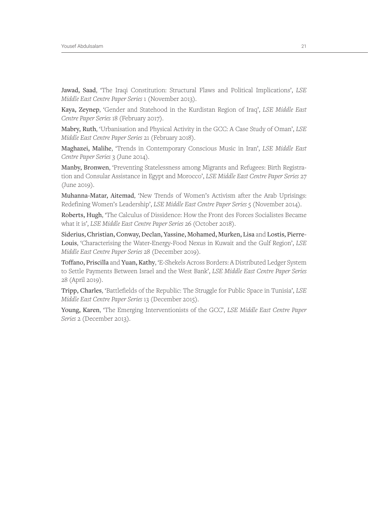Jawad, Saad, 'The Iraqi Constitution: Structural Flaws and Political Implications', *LSE Middle East Centre Paper Series* 1 (November 2013).

Kaya, Zeynep, 'Gender and Statehood in the Kurdistan Region of Iraq', *LSE Middle East Centre Paper Series* 18 (February 2017).

Mabry, Ruth, 'Urbanisation and Physical Activity in the GCC: A Case Study of Oman', *LSE Middle East Centre Paper Series* 21 (February 2018).

Maghazei, Malihe, 'Trends in Contemporary Conscious Music in Iran', *LSE Middle East Centre Paper Series* 3 (June 2014).

Manby, Bronwen, 'Preventing Statelessness among Migrants and Refugees: Birth Registration and Consular Assistance in Egypt and Morocco', *LSE Middle East Centre Paper Series* 27 (June 2019).

Muhanna-Matar, Aitemad, 'New Trends of Women's Activism after the Arab Uprisings: Redefining Women's Leadership', *LSE Middle East Centre Paper Series* 5 (November 2014).

Roberts, Hugh, 'The Calculus of Dissidence: How the Front des Forces Socialistes Became what it is', *LSE Middle East Centre Paper Series* 26 (October 2018).

Siderius, Christian, Conway, Declan, Yassine, Mohamed, Murken, Lisa and Lostis, Pierre-Louis, 'Characterising the Water-Energy-Food Nexus in Kuwait and the Gulf Region', *LSE Middle East Centre Paper Series* 28 (December 2019).

Toffano, Priscilla and Yuan, Kathy, 'E-Shekels Across Borders: A Distributed Ledger System to Settle Payments Between Israel and the West Bank', *LSE Middle East Centre Paper Series* 28 (April 2019).

Tripp, Charles, 'Battlefields of the Republic: The Struggle for Public Space in Tunisia', *LSE Middle East Centre Paper Series* 13 (December 2015).

Young, Karen, 'The Emerging Interventionists of the GCC', *LSE Middle East Centre Paper Series* 2 (December 2013).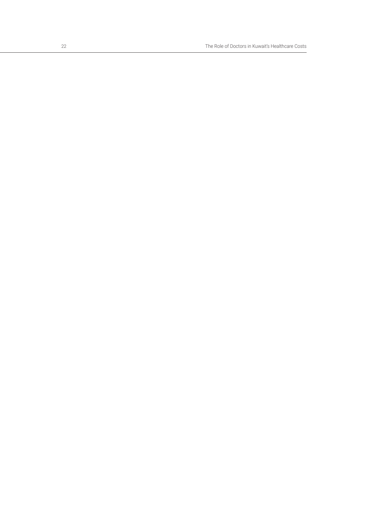The Role of Doctors in Kuwait's Healthcare Costs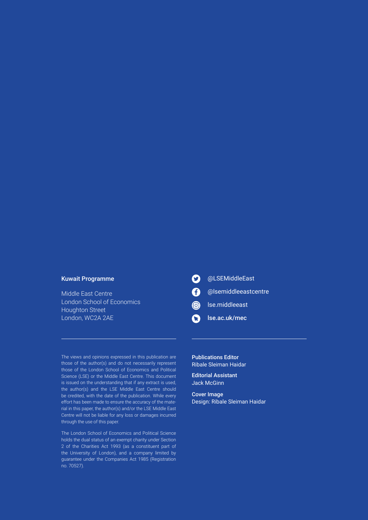#### Kuwait Programme

Middle East Centre London School of Economics Houghton Street London, WC2A 2AE



The views and opinions expressed in this publication are those of the author(s) and do not necessarily represent those of the London School of Economics and Political Science (LSE) or the Middle East Centre. This document is issued on the understanding that if any extract is used, the author(s) and the LSE Middle East Centre should be credited, with the date of the publication. While every effort has been made to ensure the accuracy of the material in this paper, the author(s) and/or the LSE Middle East Centre will not be liable for any loss or damages incurred through the use of this paper.

The London School of Economics and Political Science holds the dual status of an exempt charity under Section 2 of the Charities Act 1993 (as a constituent part of the University of London), and a company limited by guarantee under the Companies Act 1985 (Registration no. 70527).

Publications Editor Ribale Sleiman Haidar

Editorial Assistant Jack McGinn

Cover Image Design: Ribale Sleiman Haidar